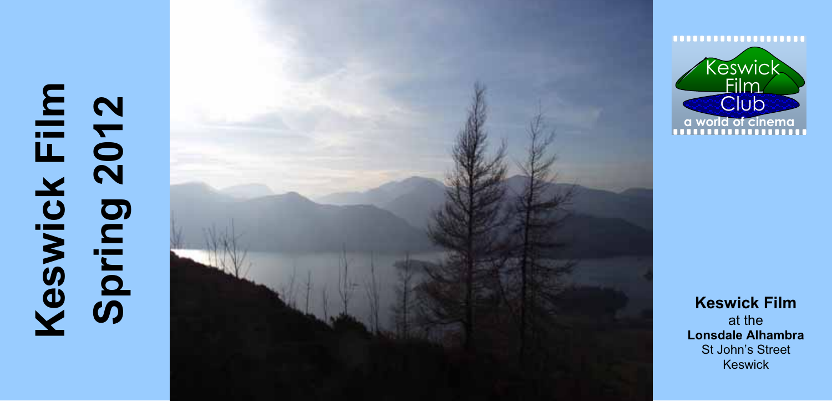# **Keswick Film KFilm**<br>2012 **Spring 2012 Keswick** Spring





**Keswick Film**  at the **Lonsdale Alhambra**  St John's Street Keswick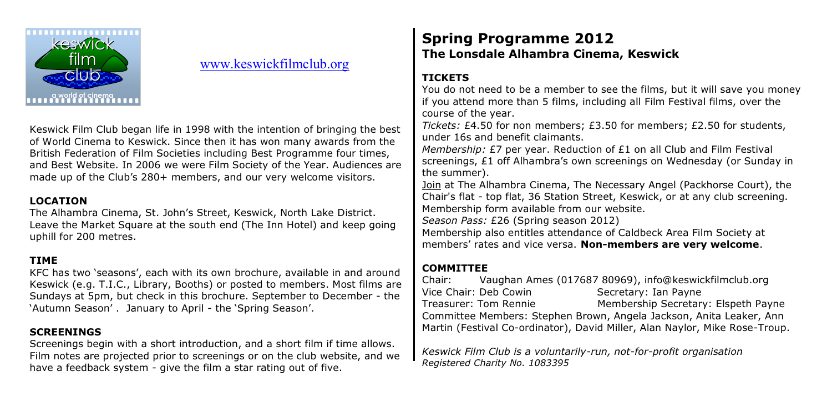

#### www.keswickfilmclub.org ww.keswickfilmclub.org

Keswick Film Club began life in 1998 with the intention of bringing the best of World Cinema to Keswick. Since then it has won many awards from the British Federation of Film Societies including Best Programme four times, and Best Website. In 2006 we were Film Society of the Year. Audiences are made up of the Club's 280+ members, and our very welcome visitors.

#### **LOCATION**

The Alhambra Cinema, St. John's Street, Keswick, North Lake District. Leave the Market Square at the south end (The Inn Hotel) and keep going uphill for 200 metres.

#### **TIME**

KFC has two 'seasons', each with its own brochure, available in and around Keswick (e.g. T.I.C., Library, Booths) or posted to members. Most films are Sundays at 5pm, but check in this brochure. September to December - the 'Autumn Season', January to April - the 'Spring Season',

#### **SCREENINGS**

Screenings begin with a short introduction, and a short film if time allows. Film notes are projected prior to screenings or on the club website, and we have a feedback system - give the film a star rating out of five.

#### **Spring Programme 2012 The Lonsdale Alhambra Cinema, Keswick**

#### **TICKETS**

You do not need to be a member to see the films, but it will save you money if you attend more than 5 films, including all Film Festival films, over the course of the year.

*Tickets:* £4.50 for non members; £3.50 for members; £2.50 for students, under 16s and benefit claimants.

*Membership:* £7 per year. Reduction of £1 on all Club and Film Festival screenings, £1 off Alhambra's own screenings on Wednesday (or Sunday in the summer).

Join at The Alhambra Cinema, The Necessary Angel (Packhorse Court), the Chair's flat - top flat, 36 Station Street, Keswick, or at any club screening. Membership form available from our website.

*Season Pass:* £26 (Spring season 2012)

Membership also entitles attendance of Caldbeck Area Film Society at members' rates and vice versa. Non-members are very welcome.

#### **COMMITTEE**

Chair: Vaughan Ames (017687 80969), info@keswickfilmclub.org Vice Chair: Deb Cowin Secretary: Ian Payne<br>Treasurer: Tom Rennie Membership Secretar Membership Secretary: Elspeth Payne Committee Members: Stephen Brown, Angela Jackson, Anita Leaker, Ann Martin (Festival Co-ordinator), David Miller, Alan Naylor, Mike Rose-Troup.

*Keswick Film Club is a voluntarily-run, not-for-profit organisation Registered Charity No. 1083395*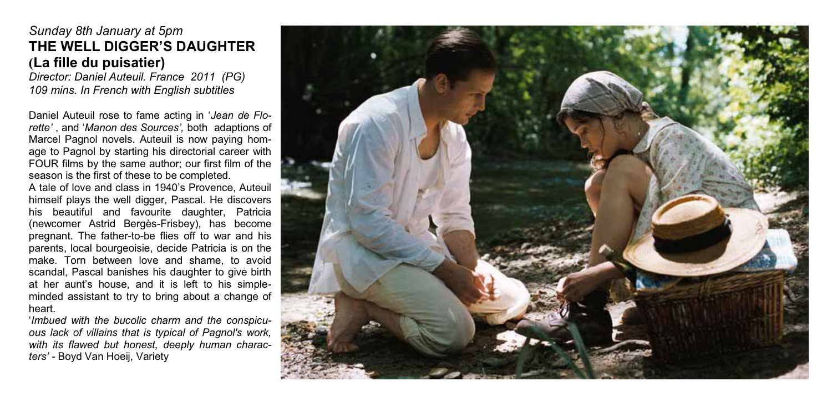#### *Sunday 8th January at 5pm*  **THE WELL DIGGER'S DAUGHTER (**La fille du puisatier)

*Director: Daniel Auteuil. France 2011 (PG) 109 mins. In French with English subtitles* 

Daniel Auteuil rose to fame acting in 'Jean de Florette', and 'Manon des Sources', both adaptions of Marcel Pagnol novels. Auteuil is now paying homage to Pagnol by starting his directorial career with FOUR films by the same author; our first film of the season is the first of these to be completed.

A tale of love and class in 1940's Provence, Auteuil himself plays the well digger, Pascal. He discovers his beautiful and favourite daughter, Patricia (newcomer Astrid Bergès-Frisbey), has become pregnant. The father-to-be flies off to war and his parents, local bourgeoisie, decide Patricia is on the make. Torn between love and shame, to avoid scandal, Pascal banishes his daughter to give birth at her aunt's house, and it is left to his simpleminded assistant to try to bring about a change of heart.

*'Imbued with the bucolic charm and the conspicuous lack of villains that is typical of Pagnol's work, with its flawed but honest, deeply human characters'* - Boyd Van Hoeij, Variety

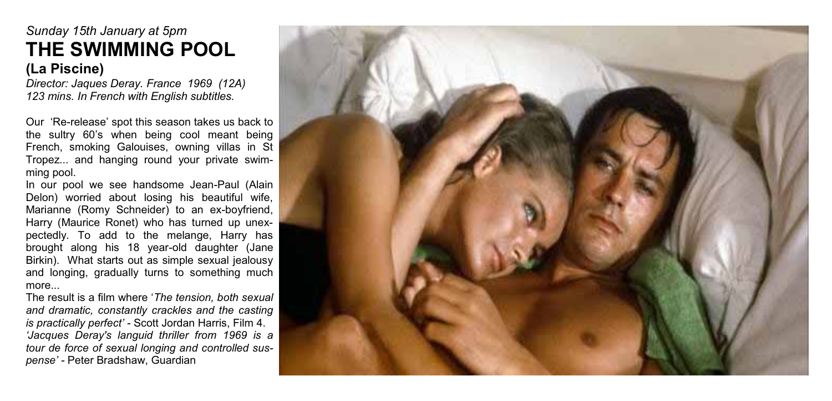### *Sunday 15th January at 5pm*  **THE SWIMMING POOL (La Piscine)**

*Director: Jaques Deray. France 1969 (12A) 123 mins. In French with English subtitles.* 

Our 'Re-release' spot this season takes us back to the sultry 60's when being cool meant being French, smoking Galouises, owning villas in St Tropez... and hanging round your private swimming pool.

In our pool we see handsome Jean-Paul (Alain Delon) worried about losing his beautiful wife, Marianne (Romy Schneider) to an ex-boyfriend, Harry (Maurice Ronet) who has turned up unexpectedly. To add to the melange, Harry has brought along his 18 year-old daughter (Jane Birkin). What starts out as simple sexual jealousy and longing, gradually turns to something much more...

The result is a film where '*The tension, both sexual and dramatic, constantly crackles and the casting is practically perfect' - Scott Jordan Harris, Film 4.* 'Jacques Deray's languid thriller from 1969 is a *tour de force of sexual longing and controlled sus*pense' - Peter Bradshaw, Guardian

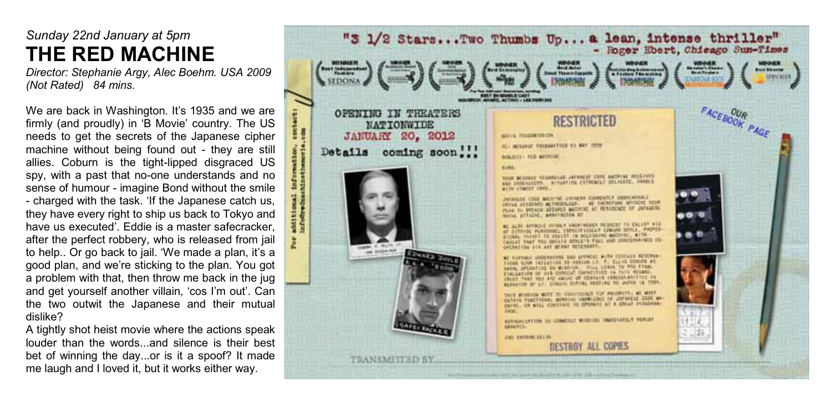### *Sunday 22nd January at 5pm*  **THE RED MACHINE**

*Director: Stephanie Argy, Alec Boehm. USA 2009 (Not Rated) 84 mins.* 

We are back in Washington. It's 1935 and we are firmly (and proudly) in 'B Movie' country. The US needs to get the secrets of the Japanese cipher machine without being found out - they are still allies. Coburn is the tight-lipped disgraced US spy, with a past that no-one understands and no sense of humour - imagine Bond without the smile - charged with the task. 'If the Japanese catch us, they have every right to ship us back to Tokyo and have us executed'. Eddie is a master safecracker. after the perfect robbery, who is released from jail to help.. Or go back to jail. 'We made a plan, it's a good plan, and we're sticking to the plan. You got a problem with that, then throw me back in the jug and get yourself another villain, 'cos I'm out'. Can the two outwit the Japanese and their mutual dislike?

A tightly shot heist movie where the actions speak louder than the words and silence is their best bet of winning the day...or is it a spoof? It made me laugh and I loved it, but it works either way.

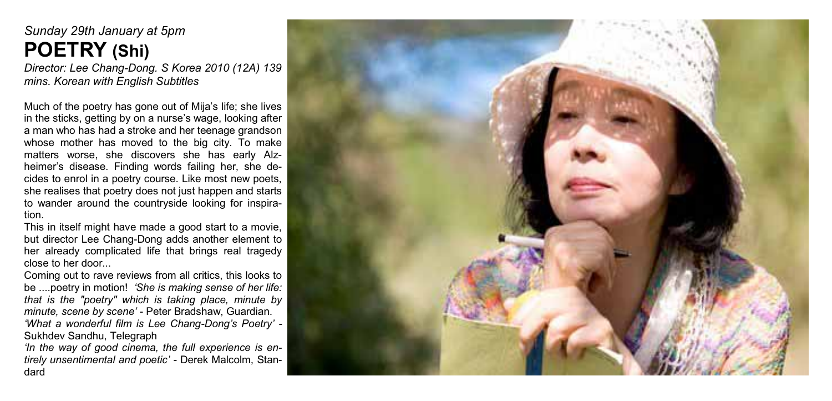### *Sunday 29th January at 5pm*  **POETRY (Shi)**

*Director: Lee Chang-Dong. S Korea 2010 (12A) 139 mins. Korean with English Subtitles* 

Much of the poetry has gone out of Mija's life; she lives in the sticks, getting by on a nurse's wage, looking after a man who has had a stroke and her teenage grandson whose mother has moved to the big city. To make matters worse, she discovers she has early Alzheimer's disease. Finding words failing her, she decides to enrol in a poetry course. Like most new poets, she realises that poetry does not just happen and starts to wander around the countryside looking for inspiration.

This in itself might have made a good start to a movie. but director Lee Chang-Dong adds another element to her already complicated life that brings real tragedy close to her door...

Coming out to rave reviews from all critics, this looks to be ....poetry in motion! 'She is making sense of her life: *that is the "poetry" which is taking place, minute by*  minute, scene by scene' - Peter Bradshaw, Guardian. *What a wonderful film is Lee Chang-Dong's Poetry' -*Sukhdev Sandhu, Telegraph

'In the way of good cinema, the full experience is entirely unsentimental and poetic' - Derek Malcolm, Standard

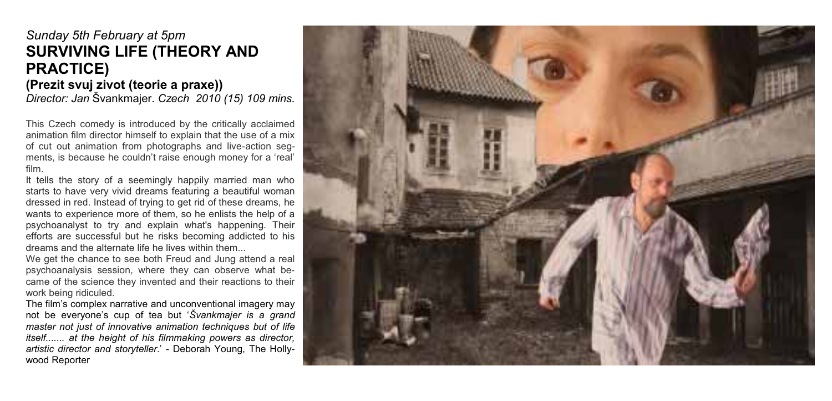### *Sunday 5th February at 5pm*  **SURVIVING LIFE (THEORY AND PRACTICE) (Prezit svuj zivot (teorie a praxe))**

*Director: Jan Švankmajer. Czech 2010 (15) 109 mins.* 

This Czech comedy is introduced by the critically acclaimed animation film director himself to explain that the use of a mix of cut out animation from photographs and live-action segments, is because he couldn't raise enough money for a 'real' film.

It tells the story of a seemingly happily married man who starts to have very vivid dreams featuring a beautiful woman dressed in red. Instead of trying to get rid of these dreams, he wants to experience more of them, so he enlists the help of a psychoanalyst to try and explain what's happening. Their efforts are successful but he risks becoming addicted to his dreams and the alternate life he lives within them...

We get the chance to see both Freud and Jung attend a real psychoanalysis session, where they can observe what became of the science they invented and their reactions to their work being ridiculed.

The film's complex narrative and unconventional imagery may not be evervone's cup of tea but 'Švankmaier is a grand *master not just of innovative animation techniques but of life itself....... at the height of his filmmaking powers as director,*  artistic director and storyteller.' - Deborah Young, The Hollywood Reporter

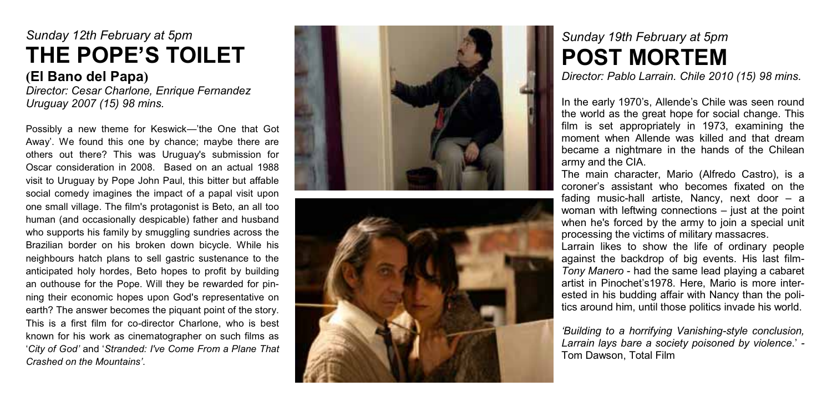### *Sunday 12th February at 5pm*  **THE POPE'S TOILET (**El Bano del Papa**)**

*Director: Cesar Charlone, Enrique Fernandez Uruguay 2007 (15) 98 mins.* 

Possibly a new theme for Keswick—'the One that Got Away'. We found this one by chance; maybe there are others out there? This was Uruguay's submission for Oscar consideration in 2008. Based on an actual 1988 visit to Uruguay by Pope John Paul, this bitter but affable social comedy imagines the impact of a papal visit upon one small village. The film's protagonist is Beto, an all too human (and occasionally despicable) father and husband who supports his family by smuggling sundries across the Brazilian border on his broken down bicycle. While his neighbours hatch plans to sell gastric sustenance to the anticipated holy hordes, Beto hopes to profit by building an outhouse for the Pope. Will they be rewarded for pinning their economic hopes upon God's representative on earth? The answer becomes the piquant point of the story. This is a first film for co-director Charlone, who is best known for his work as cinematographer on such films as 'City of God' and 'Stranded: I've Come From a Plane That Crashed on the Mountains'





### *Sunday 19th February at 5pm*  POST MORTEM

*Director: Pablo Larrain. Chile 2010 (15) 98 mins.* 

In the early 1970's, Allende's Chile was seen round the world as the great hope for social change. This film is set appropriately in 1973, examining the moment when Allende was killed and that dream became a nightmare in the hands of the Chilean army and the CIA.

The main character, Mario (Alfredo Castro), is a coroner's assistant who becomes fixated on the fading music-hall artiste, Nancy, next door – a woman with leftwing connections – just at the point when he's forced by the army to join a special unit processing the victims of military massacres.

Larrain likes to show the life of ordinary people against the backdrop of big events. His last film-*Tony Manero* - had the same lead playing a cabaret artist in Pinochet's 1978. Here. Mario is more interested in his budding affair with Nancy than the politics around him, until those politics invade his world.

 $B$ uilding to a horrifving Vanishing-style conclusion. Larrain lays bare a society poisoned by violence.<sup>1</sup> -Tom Dawson, Total Film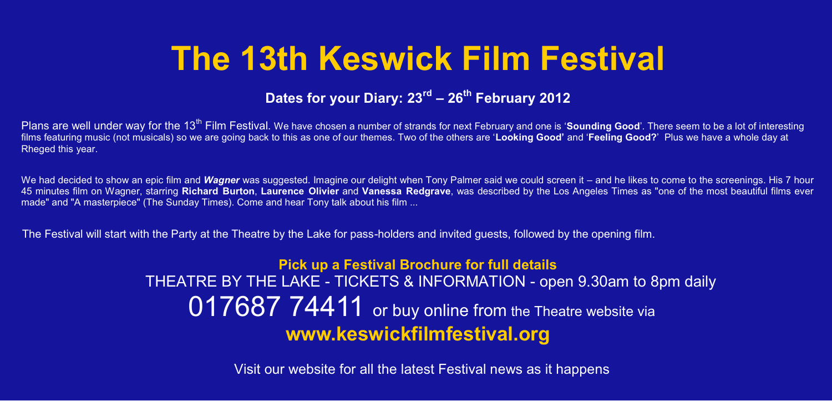## **The 13th Keswick Film Festival**

### Dates for your Diary: 23<sup>rd</sup> – 26<sup>th</sup> February 2012

Plans are well under way for the 13<sup>th</sup> Film Festival. We have chosen a number of strands for next February and one is 'Sounding Good'. There seem to be a lot of interesting films featuring music (not musicals) so we are going back to this as one of our themes. Two of the others are 'Looking Good' and 'Feeling Good' Plus we have a whole day at Rheged this year.

We had decided to show an epic film and **Wagner** was suggested. Imagine our delight when Tony Palmer said we could screen it – and he likes to come to the screenings. His 7 hour<br>45 minutes film on Wagner, starring **Richard** made" and "A masterpiece" (The Sunday Times). Come and hear Tony talk about his film ...

The Festival will start with the Party at the Theatre by the Lake for pass-holders and invited guests, followed by the opening film.

### **Pick up a Festival Brochure for full details**  THEATRE BY THE LAKE - TICKETS & INFORMATION - open 9.30am to 8pm daily 017687 74411 or buy online from the Theatre website via **www.keswickfilmfestival.org**

Visit our website for all the latest Festival news as it happens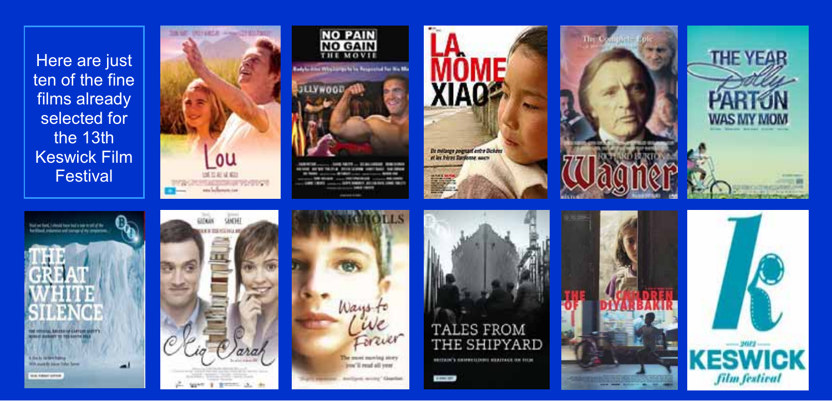Here are just ten of the fine films already selected for the 13th Keswick Film **Festival** 







WITHOUT STOKEHOW CONTINUES THE MOST cover of their construction with the **CALL SIDE HARRY SECURITY LINE 1802** 

















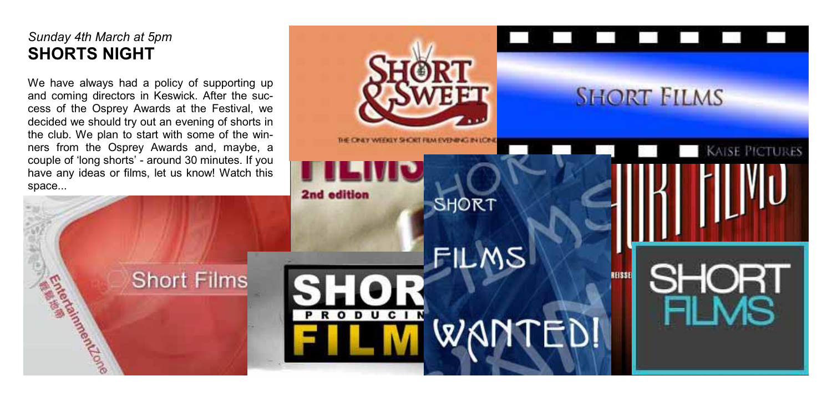### *Sunday 4th March at 5pm*  **SHORTS NIGHT**

Irene de Le

We have always had a policy of supporting up and coming directors in Keswick. After the success of the Osprey Awards at the Festival, we decided we should try out an evening of shorts in the club. We plan to start with some of the winners from the Osprey Awards and, maybe, a couple of 'long shorts' - around 30 minutes. If you have any ideas or films, let us know! Watch this space...

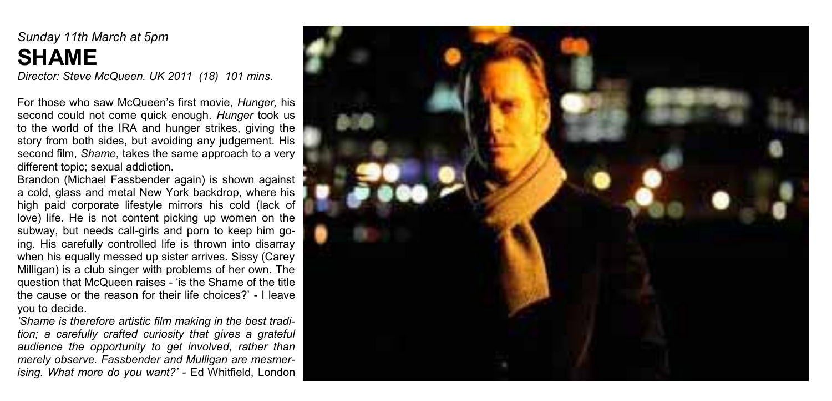### *Sunday 11th March at 5pm*  **SHAME**

*Director: Steve McQueen. UK 2011 (18) 101 mins.* 

For those who saw McQueen's first movie, *Hunger*, his second could not come quick enough. *Hunger* took us to the world of the IRA and hunger strikes, giving the story from both sides, but avoiding any judgement. His second film, *Shame*, takes the same approach to a very different topic; sexual addiction.

Brandon (Michael Fassbender again) is shown against a cold, glass and metal New York backdrop, where his high paid corporate lifestyle mirrors his cold (lack of love) life. He is not content picking up women on the subway, but needs call-girls and porn to keep him going. His carefully controlled life is thrown into disarray when his equally messed up sister arrives. Sissy (Carey Milligan) is a club singer with problems of her own. The question that McQueen raises - 'is the Shame of the title the cause or the reason for their life choices?'  $\overline{\phantom{a}}$  I leave you to decide.

'Shame is therefore artistic film making in the best tradi*tion; a carefully crafted curiosity that gives a grateful audience the opportunity to get involved, rather than merely observe. Fassbender and Mulligan are mesmerising. What more do vou want?'* - Ed Whitfield, London

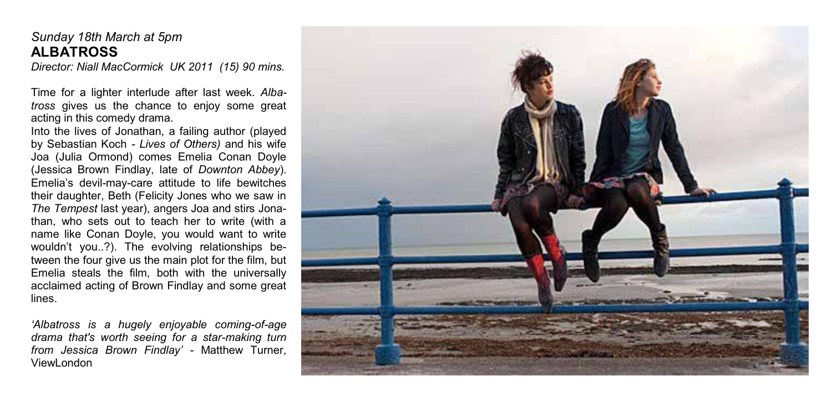#### *Sunday 18th March at 5pm*  **ALBATROSS**

*Director: Niall MacCormick UK 2011 (15) 90 mins.* 

Time for a lighter interlude after last week. *Albatross* gives us the chance to enjoy some great acting in this comedy drama.

Into the lives of Jonathan, a failing author (played by Sebastian Koch *- Lives of Others)* and his wife Joa (Julia Ormond) comes Emelia Conan Doyle (Jessica Brown Findlay, late of *Downton Abbey*). Emelia's devil-may-care attitude to life bewitches their daughter, Beth (Felicity Jones who we saw in *The Tempest* last year), angers Joa and stirs Jonathan, who sets out to teach her to write (with a name like Conan Doyle, you would want to write wouldn't you..?). The evolving relationships between the four give us the main plot for the film, but Emelia steals the film, both with the universally acclaimed acting of Brown Findlay and some great lines.

'Albatross is a hugely enjoyable coming-of-age *drama that's worth seeing for a star-making turn*  from Jessica Brown Findlay' - Matthew Turner, ViewLondon

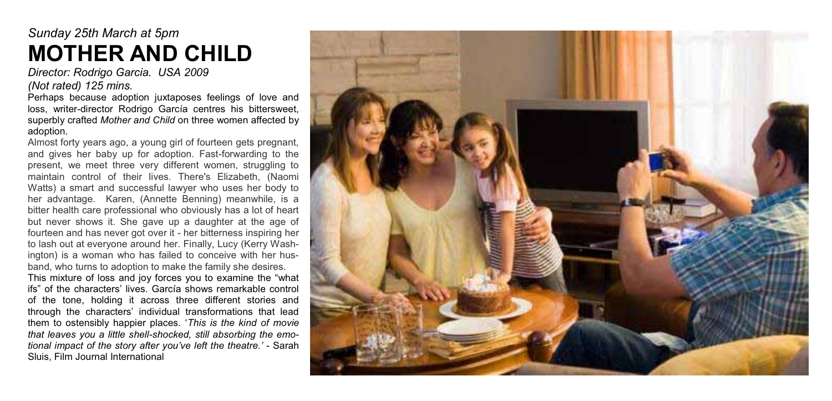### *Sunday 25th March at 5pm*  **MOTHER AND CHILD**

*Director: Rodrigo Garcia. USA 2009 (Not rated) 125 mins.* 

Perhaps because adoption juxtaposes feelings of love and loss, writer-director Rodrigo García centres his bittersweet, superbly crafted *Mother and Child* on three women affected by adoption.

Almost forty years ago, a young girl of fourteen gets pregnant. and gives her baby up for adoption. Fast-forwarding to the present, we meet three very different women, struggling to maintain control of their lives. There's Elizabeth, (Naomi Watts) a smart and successful lawyer who uses her body to her advantage. Karen, (Annette Benning) meanwhile, is a bitter health care professional who obviously has a lot of heart but never shows it. She gave up a daughter at the age of fourteen and has never got over it - her bitterness inspiring her to lash out at everyone around her. Finally, Lucy (Kerry Washington) is a woman who has failed to conceive with her husband, who turns to adoption to make the family she desires.

This mixture of loss and lov forces you to examine the "what ifs" of the characters' lives. García shows remarkable control of the tone, holding it across three different stories and through the characters' individual transformations that lead them to ostensibly happier places. *This is the kind of movie that leaves you a little shell-shocked, still absorbing the emo*tional impact of the story after you've left the theatre.' - Sarah Sluis, Film Journal International

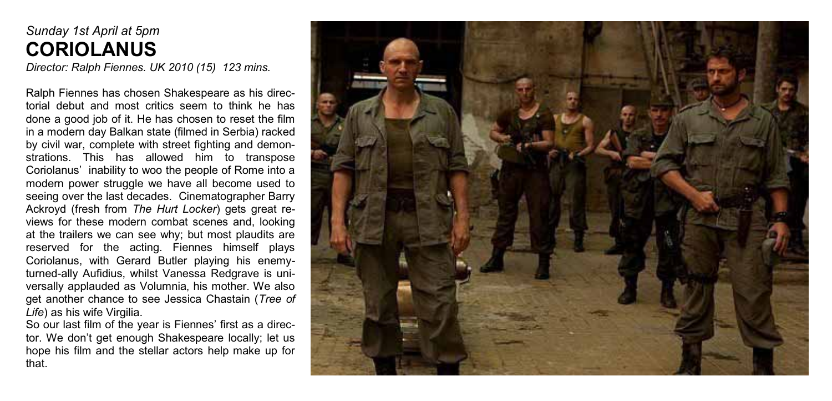### *Sunday 1st April at 5pm*  **CORIOLANUS**

*Director: Ralph Fiennes. UK 2010 (15) 123 mins.* 

Ralph Fiennes has chosen Shakespeare as his directorial debut and most critics seem to think he has done a good job of it. He has chosen to reset the film in a modern day Balkan state (filmed in Serbia) racked by civil war, complete with street fighting and demonstrations. This has allowed him to transpose Coriolanus' inability to woo the people of Rome into a modern power struggle we have all become used to seeing over the last decades. Cinematographer Barry Ackroyd (fresh from *The Hurt Locker*) gets great reviews for these modern combat scenes and, looking at the trailers we can see why; but most plaudits are reserved for the acting. Fiennes himself plays Coriolanus, with Gerard Butler playing his enemyturned-ally Aufidius, whilst Vanessa Redgrave is universally applauded as Volumnia, his mother. We also get another chance to see Jessica Chastain (*Tree of Life*) as his wife Virgilia.

So our last film of the year is Fiennes' first as a director. We don't get enough Shakespeare locally: let us hope his film and the stellar actors help make up for that.